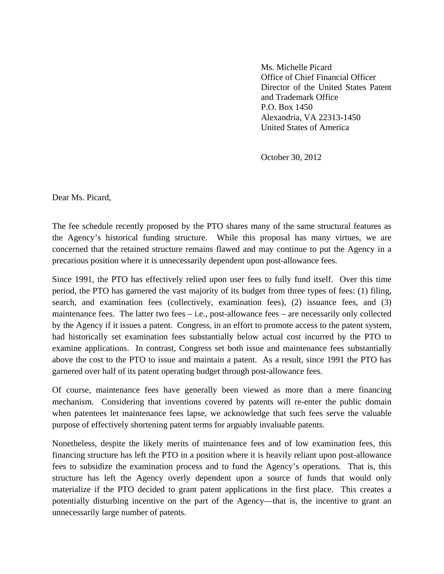Ms. Michelle Picard Office of Chief Financial Officer Director of the United States Patent and Trademark Office P.O. Box 1450 Alexandria, VA 22313-1450 United States of America

October 30, 2012

Dear Ms. Picard,

The fee schedule recently proposed by the PTO shares many of the same structural features as the Agency's historical funding structure. While this proposal has many virtues, we are concerned that the retained structure remains flawed and may continue to put the Agency in a precarious position where it is unnecessarily dependent upon post-allowance fees.

Since 1991, the PTO has effectively relied upon user fees to fully fund itself. Over this time period, the PTO has garnered the vast majority of its budget from three types of fees: (1) filing, search, and examination fees (collectively, examination fees), (2) issuance fees, and (3) maintenance fees. The latter two fees – i.e., post-allowance fees – are necessarily only collected by the Agency if it issues a patent. Congress, in an effort to promote access to the patent system, had historically set examination fees substantially below actual cost incurred by the PTO to examine applications. In contrast, Congress set both issue and maintenance fees substantially above the cost to the PTO to issue and maintain a patent. As a result, since 1991 the PTO has garnered over half of its patent operating budget through post-allowance fees.

Of course, maintenance fees have generally been viewed as more than a mere financing mechanism. Considering that inventions covered by patents will re-enter the public domain when patentees let maintenance fees lapse, we acknowledge that such fees serve the valuable purpose of effectively shortening patent terms for arguably invaluable patents.

Nonetheless, despite the likely merits of maintenance fees and of low examination fees, this financing structure has left the PTO in a position where it is heavily reliant upon post-allowance fees to subsidize the examination process and to fund the Agency's operations. That is, this structure has left the Agency overly dependent upon a source of funds that would only materialize if the PTO decided to grant patent applications in the first place. This creates a potentially disturbing incentive on the part of the Agency—that is, the incentive to grant an unnecessarily large number of patents.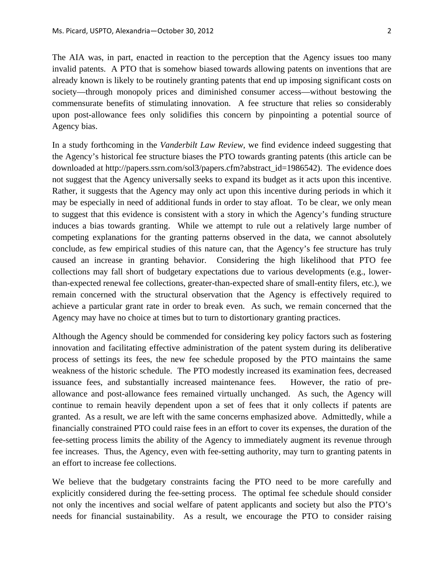The AIA was, in part, enacted in reaction to the perception that the Agency issues too many invalid patents. A PTO that is somehow biased towards allowing patents on inventions that are already known is likely to be routinely granting patents that end up imposing significant costs on society—through monopoly prices and diminished consumer access—without bestowing the commensurate benefits of stimulating innovation. A fee structure that relies so considerably upon post-allowance fees only solidifies this concern by pinpointing a potential source of Agency bias.

In a study forthcoming in the *Vanderbilt Law Review*, we find evidence indeed suggesting that the Agency's historical fee structure biases the PTO towards granting patents (this article can be downloaded at http://papers.ssrn.com/sol3/papers.cfm?abstract\_id=1986542). The evidence does not suggest that the Agency universally seeks to expand its budget as it acts upon this incentive. Rather, it suggests that the Agency may only act upon this incentive during periods in which it may be especially in need of additional funds in order to stay afloat. To be clear, we only mean to suggest that this evidence is consistent with a story in which the Agency's funding structure induces a bias towards granting. While we attempt to rule out a relatively large number of competing explanations for the granting patterns observed in the data, we cannot absolutely conclude, as few empirical studies of this nature can, that the Agency's fee structure has truly caused an increase in granting behavior. Considering the high likelihood that PTO fee collections may fall short of budgetary expectations due to various developments (e.g., lowerthan-expected renewal fee collections, greater-than-expected share of small-entity filers, etc.), we remain concerned with the structural observation that the Agency is effectively required to achieve a particular grant rate in order to break even. As such, we remain concerned that the Agency may have no choice at times but to turn to distortionary granting practices.

Although the Agency should be commended for considering key policy factors such as fostering innovation and facilitating effective administration of the patent system during its deliberative process of settings its fees, the new fee schedule proposed by the PTO maintains the same weakness of the historic schedule. The PTO modestly increased its examination fees, decreased issuance fees, and substantially increased maintenance fees. However, the ratio of preallowance and post-allowance fees remained virtually unchanged. As such, the Agency will continue to remain heavily dependent upon a set of fees that it only collects if patents are granted. As a result, we are left with the same concerns emphasized above. Admittedly, while a financially constrained PTO could raise fees in an effort to cover its expenses, the duration of the fee-setting process limits the ability of the Agency to immediately augment its revenue through fee increases. Thus, the Agency, even with fee-setting authority, may turn to granting patents in an effort to increase fee collections.

We believe that the budgetary constraints facing the PTO need to be more carefully and explicitly considered during the fee-setting process. The optimal fee schedule should consider not only the incentives and social welfare of patent applicants and society but also the PTO's needs for financial sustainability. As a result, we encourage the PTO to consider raising